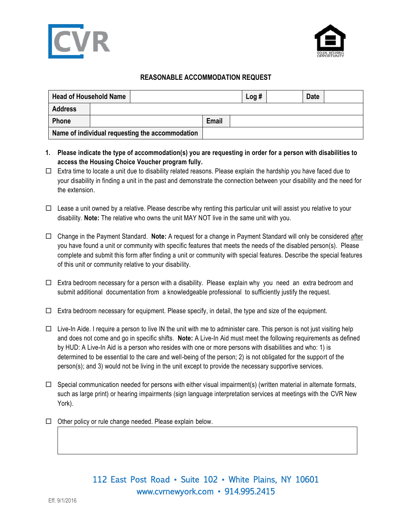



## **REASONABLE ACCOMMODATION REQUEST**

| <b>Head of Household Name</b>                   |  |  | Log#         | <b>Date</b> |  |  |
|-------------------------------------------------|--|--|--------------|-------------|--|--|
| <b>Address</b>                                  |  |  |              |             |  |  |
| <b>Phone</b>                                    |  |  | <b>Email</b> |             |  |  |
| Name of individual requesting the accommodation |  |  |              |             |  |  |

- **1. Please indicate the type of accommodation(s) you are requesting in order for a person with disabilities to access the Housing Choice Voucher program fully.**
- $\Box$  Extra time to locate a unit due to disability related reasons. Please explain the hardship you have faced due to your disability in finding a unit in the past and demonstrate the connection between your disability and the need for the extension.
- $\Box$  Lease a unit owned by a relative. Please describe why renting this particular unit will assist you relative to your disability. **Note:** The relative who owns the unit MAY NOT live in the same unit with you.
- Change in the Payment Standard. **Note:** A request for a change in Payment Standard will only be considered after you have found a unit or community with specific features that meets the needs of the disabled person(s). Please complete and submit this form after finding a unit or community with special features. Describe the special features of this unit or community relative to your disability.
- $\Box$  Extra bedroom necessary for a person with a disability. Please explain why you need an extra bedroom and submit additional documentation from a knowledgeable professional to sufficiently justify the request.
- $\Box$  Extra bedroom necessary for equipment. Please specify, in detail, the type and size of the equipment.
- $\Box$  Live-In Aide. I require a person to live IN the unit with me to administer care. This person is not just visiting help and does not come and go in specific shifts. **Note:** A Live-In Aid must meet the following requirements as defined by HUD: A Live-In Aid is a person who resides with one or more persons with disabilities and who: 1) is determined to be essential to the care and well-being of the person; 2) is not obligated for the support of the person(s); and 3) would not be living in the unit except to provide the necessary supportive services.
- $\Box$  Special communication needed for persons with either visual impairment(s) (written material in alternate formats, such as large print) or hearing impairments (sign language interpretation services at meetings with the CVR New York).
- $\Box$  Other policy or rule change needed. Please explain below.